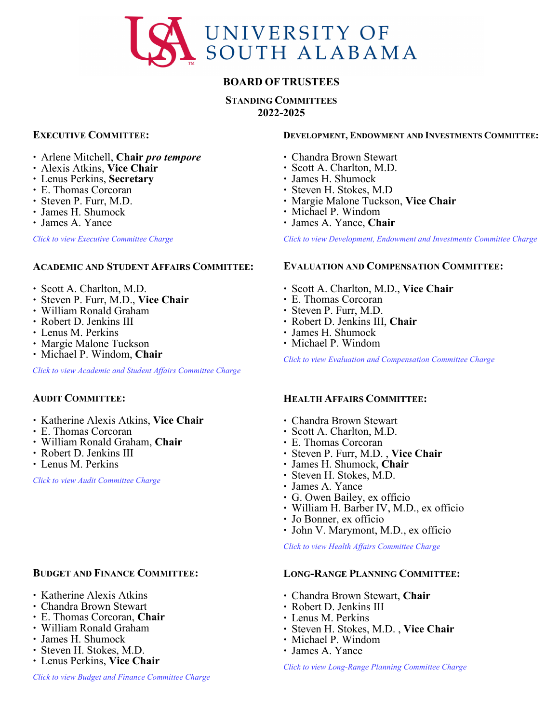

# **BOARD OF TRUSTEES**

**STANDING COMMITTEES 2022-2025**

## **EXECUTIVE COMMITTEE:**

- ∙ Arlene Mitchell, **Chair** *pro tempore*
- ∙ Alexis Atkins, **Vice Chair**
- ∙ Lenus Perkins, **Secretary**
- ∙ E. Thomas Corcoran
- ∙ Steven P. Furr, M.D.
- ∙ James H. Shumock
- ∙ James A. Yance

*[Click to view Executive Committee Charge](#page-1-0)* 

## **ACADEMIC AND STUDENT AFFAIRS COMMITTEE:**

- ∙ Scott A. Charlton, M.D.
- ∙ Steven P. Furr, M.D., **Vice Chair**
- ∙ William Ronald Graham
- ∙ Robert D. Jenkins III
- ∙ Lenus M. Perkins
- ∙ Margie Malone Tuckson
- ∙ Michael P. Windom, **Chair**

*[Click to view Academic and Student Affairs Committee Charge](#page-2-0)*

## **AUDIT COMMITTEE:**

- ∙ Katherine Alexis Atkins, **Vice Chair**
- ∙ E. Thomas Corcoran
- ∙ William Ronald Graham, **Chair**
- ∙ Robert D. Jenkins III
- ∙ Lenus M. Perkins

*[Click to view Audit Committee Charge](#page-4-0)*

# **BUDGET AND FINANCE COMMITTEE:**

- ∙ Katherine Alexis Atkins
- ∙ Chandra Brown Stewart
- ∙ E. Thomas Corcoran, **Chair**
- ∙ William Ronald Graham
- ∙ James H. Shumock
- ∙ Steven H. Stokes, M.D.
- ∙ Lenus Perkins, **Vice Chair**

## **DEVELOPMENT, ENDOWMENT AND INVESTMENTS COMMITTEE:**

- ∙ Chandra Brown Stewart
- ∙ Scott A. Charlton, M.D.
- ∙ James H. Shumock
- ∙ Steven H. Stokes, M.D
- <sup>∙</sup> Margie Malone Tuckson, **Vice Chair** <sup>∙</sup> Michael P. Windom
- 
- ∙ James A. Yance, **Chair**

*Click to view Development, [Endowment and Investments Committee Charge](#page-7-0)*

## **EVALUATION AND COMPENSATION COMMITTEE:**

- ∙ Scott A. Charlton, M.D., **Vice Chair**
- ∙ E. Thomas Corcoran
- ∙ Steven P. Furr, M.D.
- ∙ Robert D. Jenkins III, **Chair**
- ∙ James H. Shumock
- ∙ Michael P. Windom

*Click to view [Evaluation and Compensation Committee Charge](#page-9-0)*

## **HEALTH AFFAIRS COMMITTEE:**

- ∙ Chandra Brown Stewart
- ∙ Scott A. Charlton, M.D.
- ∙ E. Thomas Corcoran
- ∙ Steven P. Furr, M.D. , **Vice Chair**
- ∙ James H. Shumock, **Chair**
- ∙ Steven H. Stokes, M.D.
- ∙ James A. Yance
- ∙ G. Owen Bailey, ex officio
- ∙ William H. Barber IV, M.D., ex officio
- ∙ Jo Bonner, ex officio
- ∙ John V. Marymont, M.D., ex officio

*[Click to view Health Affairs Committee Charge](#page-10-0)* 

## **LONG-RANGE PLANNING COMMITTEE:**

- <sup>∙</sup> Chandra Brown Stewart, **Chair** <sup>∙</sup> Robert D. Jenkins III
- 
- ∙ Lenus M. Perkins
- ∙ Steven H. Stokes, M.D. , **Vice Chair**
- ∙ Michael P. Windom
- ∙ James A. Yance

*[Click to view Long-Range Planning Committee Charge](#page-11-0)*

*Click to view Budget [and Finance Committee Charge](#page-6-0)*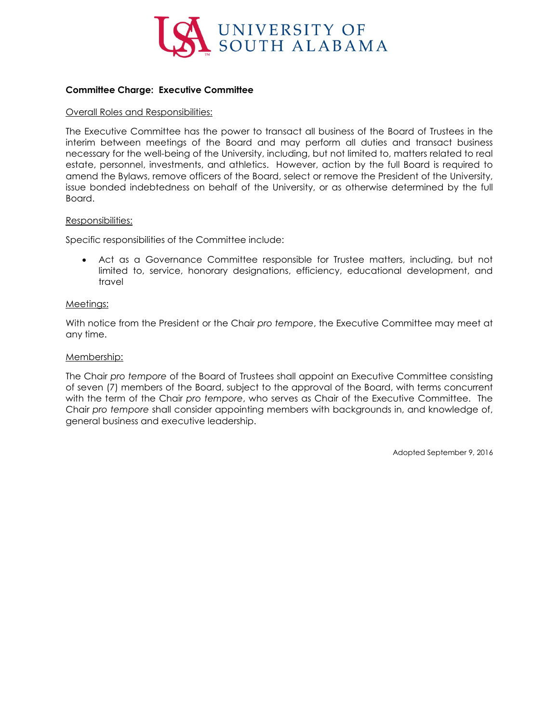

### <span id="page-1-0"></span>**Committee Charge: Executive Committee**

#### Overall Roles and Responsibilities:

The Executive Committee has the power to transact all business of the Board of Trustees in the interim between meetings of the Board and may perform all duties and transact business necessary for the well-being of the University, including, but not limited to, matters related to real estate, personnel, investments, and athletics. However, action by the full Board is required to amend the Bylaws, remove officers of the Board, select or remove the President of the University, issue bonded indebtedness on behalf of the University, or as otherwise determined by the full Board.

#### Responsibilities:

Specific responsibilities of the Committee include:

• Act as a Governance Committee responsible for Trustee matters, including, but not limited to, service, honorary designations, efficiency, educational development, and travel

#### Meetings:

With notice from the President or the Chair *pro tempore*, the Executive Committee may meet at any time.

#### Membership:

The Chair *pro tempore* of the Board of Trustees shall appoint an Executive Committee consisting of seven (7) members of the Board, subject to the approval of the Board, with terms concurrent with the term of the Chair *pro tempore*, who serves as Chair of the Executive Committee. The Chair *pro tempore* shall consider appointing members with backgrounds in, and knowledge of, general business and executive leadership.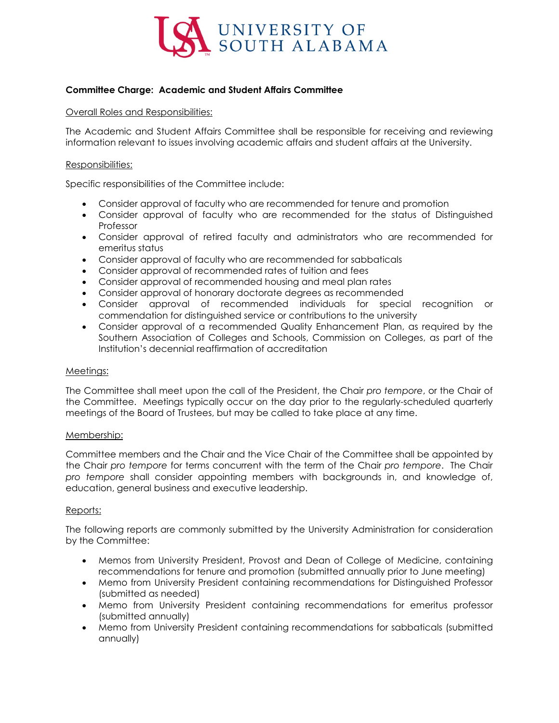

## <span id="page-2-0"></span>**Committee Charge: Academic and Student Affairs Committee**

#### Overall Roles and Responsibilities:

The Academic and Student Affairs Committee shall be responsible for receiving and reviewing information relevant to issues involving academic affairs and student affairs at the University.

### Responsibilities:

Specific responsibilities of the Committee include:

- Consider approval of faculty who are recommended for tenure and promotion
- Consider approval of faculty who are recommended for the status of Distinguished Professor
- Consider approval of retired faculty and administrators who are recommended for emeritus status
- Consider approval of faculty who are recommended for sabbaticals
- Consider approval of recommended rates of tuition and fees
- Consider approval of recommended housing and meal plan rates
- Consider approval of honorary doctorate degrees as recommended
- Consider approval of recommended individuals for special recognition or commendation for distinguished service or contributions to the university
- Consider approval of a recommended Quality Enhancement Plan, as required by the Southern Association of Colleges and Schools, Commission on Colleges, as part of the Institution's decennial reaffirmation of accreditation

#### Meetings:

The Committee shall meet upon the call of the President, the Chair *pro tempore*, or the Chair of the Committee. Meetings typically occur on the day prior to the regularly-scheduled quarterly meetings of the Board of Trustees, but may be called to take place at any time.

#### Membership:

Committee members and the Chair and the Vice Chair of the Committee shall be appointed by the Chair *pro tempore* for terms concurrent with the term of the Chair *pro tempore*. The Chair *pro tempore* shall consider appointing members with backgrounds in, and knowledge of, education, general business and executive leadership.

#### Reports:

The following reports are commonly submitted by the University Administration for consideration by the Committee:

- Memos from University President, Provost and Dean of College of Medicine, containing recommendations for tenure and promotion (submitted annually prior to June meeting)
- Memo from University President containing recommendations for Distinguished Professor (submitted as needed)
- Memo from University President containing recommendations for emeritus professor (submitted annually)
- Memo from University President containing recommendations for sabbaticals (submitted annually)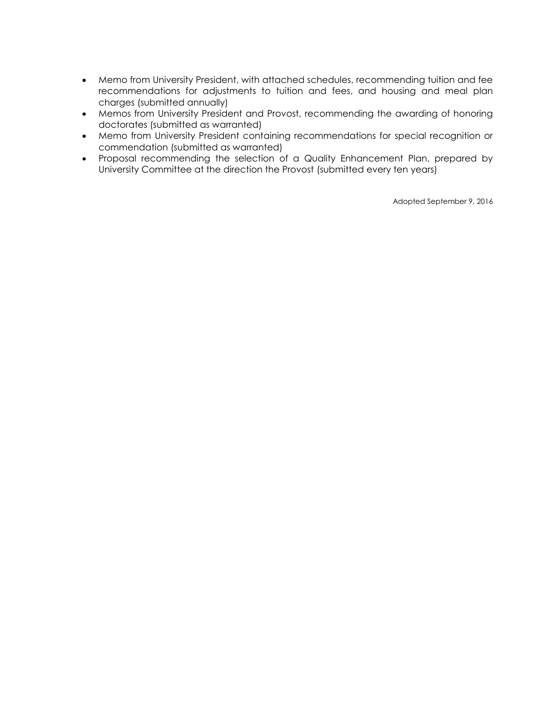- Memo from University President, with attached schedules, recommending tuition and fee recommendations for adjustments to tuition and fees, and housing and meal plan charges (submitted annually)
- Memos from University President and Provost, recommending the awarding of honoring doctorates (submitted as warranted)
- Memo from University President containing recommendations for special recognition or commendation (submitted as warranted)
- Proposal recommending the selection of a Quality Enhancement Plan, prepared by University Committee at the direction the Provost (submitted every ten years)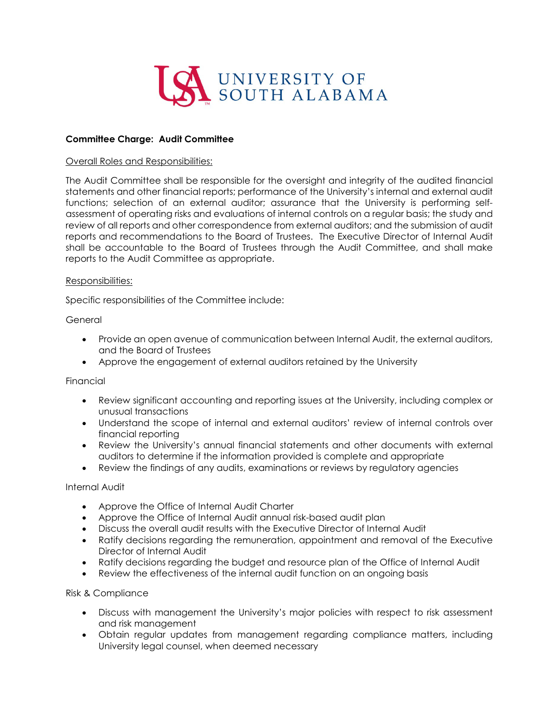

### <span id="page-4-0"></span>**Committee Charge: Audit Committee**

#### Overall Roles and Responsibilities:

The Audit Committee shall be responsible for the oversight and integrity of the audited financial statements and other financial reports; performance of the University's internal and external audit functions; selection of an external auditor; assurance that the University is performing selfassessment of operating risks and evaluations of internal controls on a regular basis; the study and review of all reports and other correspondence from external auditors; and the submission of audit reports and recommendations to the Board of Trustees. The Executive Director of Internal Audit shall be accountable to the Board of Trustees through the Audit Committee, and shall make reports to the Audit Committee as appropriate.

#### Responsibilities:

Specific responsibilities of the Committee include:

### **General**

- Provide an open avenue of communication between Internal Audit, the external auditors, and the Board of Trustees
- Approve the engagement of external auditors retained by the University

#### Financial

- Review significant accounting and reporting issues at the University, including complex or unusual transactions
- Understand the scope of internal and external auditors' review of internal controls over financial reporting
- Review the University's annual financial statements and other documents with external auditors to determine if the information provided is complete and appropriate
- Review the findings of any audits, examinations or reviews by regulatory agencies

#### Internal Audit

- Approve the Office of Internal Audit Charter
- Approve the Office of Internal Audit annual risk-based audit plan
- Discuss the overall audit results with the Executive Director of Internal Audit
- Ratify decisions regarding the remuneration, appointment and removal of the Executive Director of Internal Audit
- Ratify decisions regarding the budget and resource plan of the Office of Internal Audit
- Review the effectiveness of the internal audit function on an ongoing basis

## Risk & Compliance

- Discuss with management the University's major policies with respect to risk assessment and risk management
- Obtain regular updates from management regarding compliance matters, including University legal counsel, when deemed necessary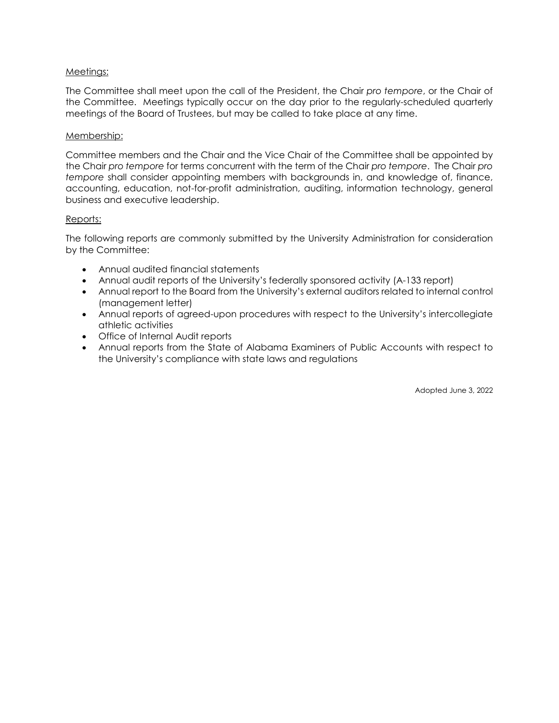## Meetings:

The Committee shall meet upon the call of the President, the Chair *pro tempore*, or the Chair of the Committee. Meetings typically occur on the day prior to the regularly-scheduled quarterly meetings of the Board of Trustees, but may be called to take place at any time.

## Membership:

Committee members and the Chair and the Vice Chair of the Committee shall be appointed by the Chair *pro tempore* for terms concurrent with the term of the Chair *pro tempore*. The Chair *pro tempore* shall consider appointing members with backgrounds in, and knowledge of, finance, accounting, education, not-for-profit administration, auditing, information technology, general business and executive leadership.

## Reports:

The following reports are commonly submitted by the University Administration for consideration by the Committee:

- Annual audited financial statements
- Annual audit reports of the University's federally sponsored activity (A-133 report)
- Annual report to the Board from the University's external auditors related to internal control (management letter)
- Annual reports of agreed-upon procedures with respect to the University's intercollegiate athletic activities
- Office of Internal Audit reports
- Annual reports from the State of Alabama Examiners of Public Accounts with respect to the University's compliance with state laws and regulations

Adopted June 3, 2022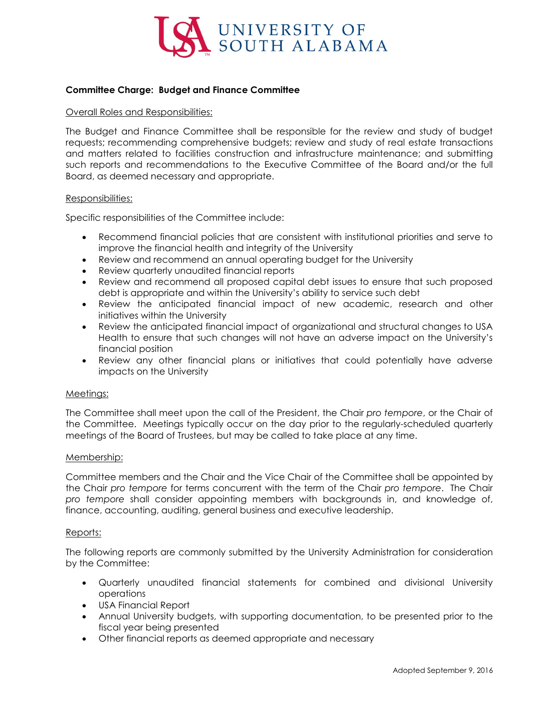

## <span id="page-6-0"></span>**Committee Charge: Budget and Finance Committee**

#### Overall Roles and Responsibilities:

The Budget and Finance Committee shall be responsible for the review and study of budget requests; recommending comprehensive budgets; review and study of real estate transactions and matters related to facilities construction and infrastructure maintenance; and submitting such reports and recommendations to the Executive Committee of the Board and/or the full Board, as deemed necessary and appropriate.

#### Responsibilities:

Specific responsibilities of the Committee include:

- Recommend financial policies that are consistent with institutional priorities and serve to improve the financial health and integrity of the University
- Review and recommend an annual operating budget for the University
- Review quarterly unaudited financial reports
- Review and recommend all proposed capital debt issues to ensure that such proposed debt is appropriate and within the University's ability to service such debt
- Review the anticipated financial impact of new academic, research and other initiatives within the University
- Review the anticipated financial impact of organizational and structural changes to USA Health to ensure that such changes will not have an adverse impact on the University's financial position
- Review any other financial plans or initiatives that could potentially have adverse impacts on the University

#### Meetings:

The Committee shall meet upon the call of the President, the Chair *pro tempore*, or the Chair of the Committee. Meetings typically occur on the day prior to the regularly-scheduled quarterly meetings of the Board of Trustees, but may be called to take place at any time.

#### Membership:

Committee members and the Chair and the Vice Chair of the Committee shall be appointed by the Chair *pro tempore* for terms concurrent with the term of the Chair *pro tempore*. The Chair *pro tempore* shall consider appointing members with backgrounds in, and knowledge of, finance, accounting, auditing, general business and executive leadership.

#### Reports:

The following reports are commonly submitted by the University Administration for consideration by the Committee:

- Quarterly unaudited financial statements for combined and divisional University operations
- USA Financial Report
- Annual University budgets, with supporting documentation, to be presented prior to the fiscal year being presented
- Other financial reports as deemed appropriate and necessary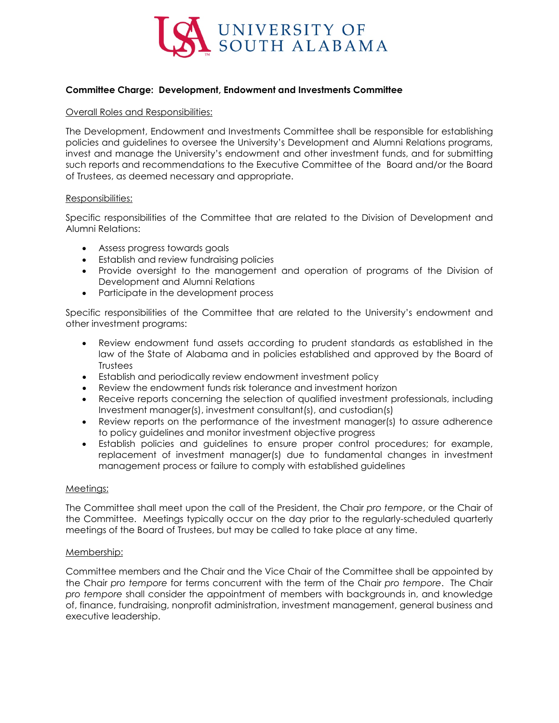

## <span id="page-7-0"></span>**Committee Charge: Development, Endowment and Investments Committee**

#### Overall Roles and Responsibilities:

The Development, Endowment and Investments Committee shall be responsible for establishing policies and guidelines to oversee the University's Development and Alumni Relations programs, invest and manage the University's endowment and other investment funds, and for submitting such reports and recommendations to the Executive Committee of the Board and/or the Board of Trustees, as deemed necessary and appropriate.

#### Responsibilities:

Specific responsibilities of the Committee that are related to the Division of Development and Alumni Relations:

- Assess progress towards goals
- Establish and review fundraising policies
- Provide oversight to the management and operation of programs of the Division of Development and Alumni Relations
- Participate in the development process

Specific responsibilities of the Committee that are related to the University's endowment and other investment programs:

- Review endowment fund assets according to prudent standards as established in the law of the State of Alabama and in policies established and approved by the Board of **Trustees**
- Establish and periodically review endowment investment policy
- Review the endowment funds risk tolerance and investment horizon
- Receive reports concerning the selection of qualified investment professionals, including Investment manager(s), investment consultant(s), and custodian(s)
- Review reports on the performance of the investment manager(s) to assure adherence to policy guidelines and monitor investment objective progress
- Establish policies and guidelines to ensure proper control procedures; for example, replacement of investment manager(s) due to fundamental changes in investment management process or failure to comply with established guidelines

#### Meetings:

The Committee shall meet upon the call of the President, the Chair *pro tempore*, or the Chair of the Committee. Meetings typically occur on the day prior to the regularly-scheduled quarterly meetings of the Board of Trustees, but may be called to take place at any time.

#### Membership:

Committee members and the Chair and the Vice Chair of the Committee shall be appointed by the Chair *pro tempore* for terms concurrent with the term of the Chair *pro tempore*. The Chair *pro tempore* shall consider the appointment of members with backgrounds in, and knowledge of, finance, fundraising, nonprofit administration, investment management, general business and executive leadership.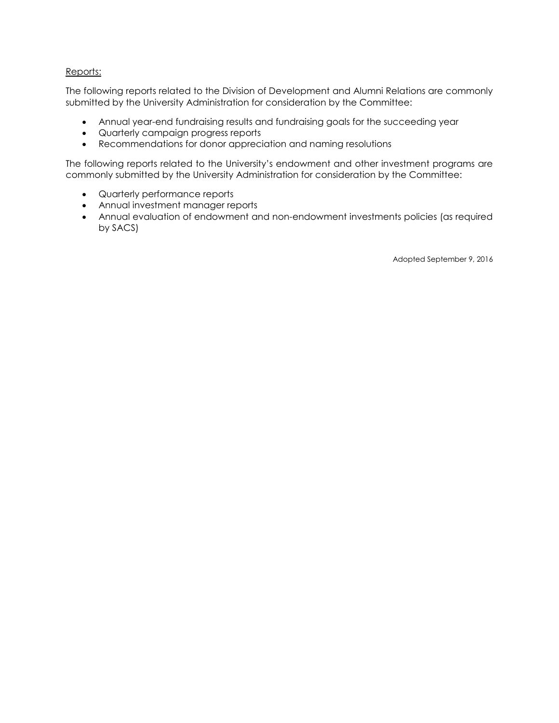## Reports:

The following reports related to the Division of Development and Alumni Relations are commonly submitted by the University Administration for consideration by the Committee:

- Annual year-end fundraising results and fundraising goals for the succeeding year
- Quarterly campaign progress reports
- Recommendations for donor appreciation and naming resolutions

The following reports related to the University's endowment and other investment programs are commonly submitted by the University Administration for consideration by the Committee:

- Quarterly performance reports
- Annual investment manager reports
- Annual evaluation of endowment and non-endowment investments policies (as required by SACS)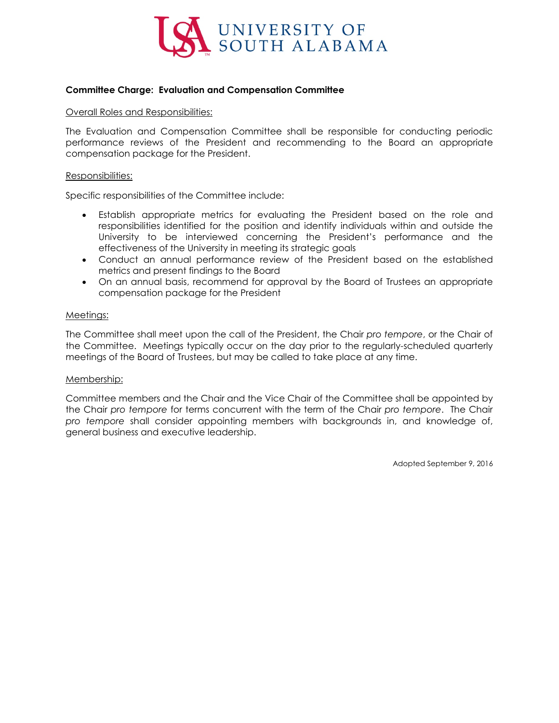

## <span id="page-9-0"></span>**Committee Charge: Evaluation and Compensation Committee**

#### Overall Roles and Responsibilities:

The Evaluation and Compensation Committee shall be responsible for conducting periodic performance reviews of the President and recommending to the Board an appropriate compensation package for the President.

#### Responsibilities:

Specific responsibilities of the Committee include:

- Establish appropriate metrics for evaluating the President based on the role and responsibilities identified for the position and identify individuals within and outside the University to be interviewed concerning the President's performance and the effectiveness of the University in meeting its strategic goals
- Conduct an annual performance review of the President based on the established metrics and present findings to the Board
- On an annual basis, recommend for approval by the Board of Trustees an appropriate compensation package for the President

#### Meetings:

The Committee shall meet upon the call of the President, the Chair *pro tempore*, or the Chair of the Committee. Meetings typically occur on the day prior to the regularly-scheduled quarterly meetings of the Board of Trustees, but may be called to take place at any time.

#### Membership:

Committee members and the Chair and the Vice Chair of the Committee shall be appointed by the Chair *pro tempore* for terms concurrent with the term of the Chair *pro tempore*. The Chair *pro tempore* shall consider appointing members with backgrounds in, and knowledge of, general business and executive leadership.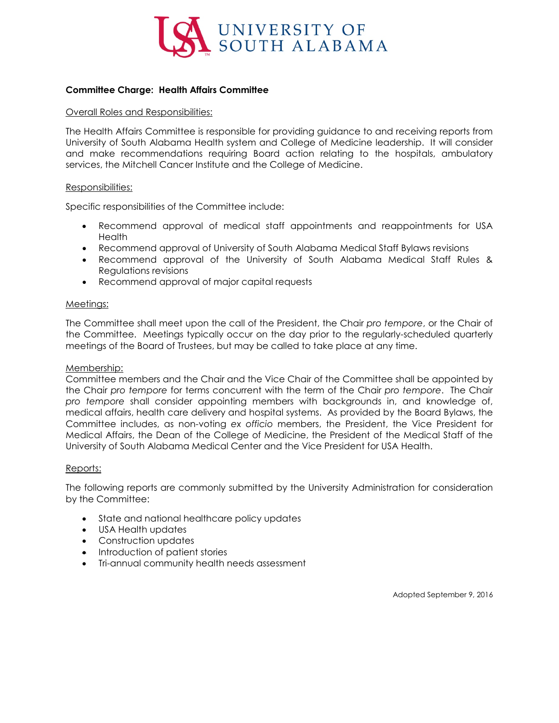

## <span id="page-10-0"></span>**Committee Charge: Health Affairs Committee**

#### Overall Roles and Responsibilities:

The Health Affairs Committee is responsible for providing guidance to and receiving reports from University of South Alabama Health system and College of Medicine leadership. It will consider and make recommendations requiring Board action relating to the hospitals, ambulatory services, the Mitchell Cancer Institute and the College of Medicine.

#### Responsibilities:

Specific responsibilities of the Committee include:

- Recommend approval of medical staff appointments and reappointments for USA **Health**
- Recommend approval of University of South Alabama Medical Staff Bylaws revisions
- Recommend approval of the University of South Alabama Medical Staff Rules & Regulations revisions
- Recommend approval of major capital requests

#### Meetings:

The Committee shall meet upon the call of the President, the Chair *pro tempore*, or the Chair of the Committee. Meetings typically occur on the day prior to the regularly-scheduled quarterly meetings of the Board of Trustees, but may be called to take place at any time.

#### Membership:

Committee members and the Chair and the Vice Chair of the Committee shall be appointed by the Chair *pro tempore* for terms concurrent with the term of the Chair *pro tempore*. The Chair *pro tempore* shall consider appointing members with backgrounds in, and knowledge of, medical affairs, health care delivery and hospital systems. As provided by the Board Bylaws, the Committee includes, as non-voting *ex officio* members, the President, the Vice President for Medical Affairs, the Dean of the College of Medicine, the President of the Medical Staff of the University of South Alabama Medical Center and the Vice President for USA Health.

#### Reports:

The following reports are commonly submitted by the University Administration for consideration by the Committee:

- State and national healthcare policy updates
- USA Health updates
- Construction updates
- Introduction of patient stories
- Tri-annual community health needs assessment